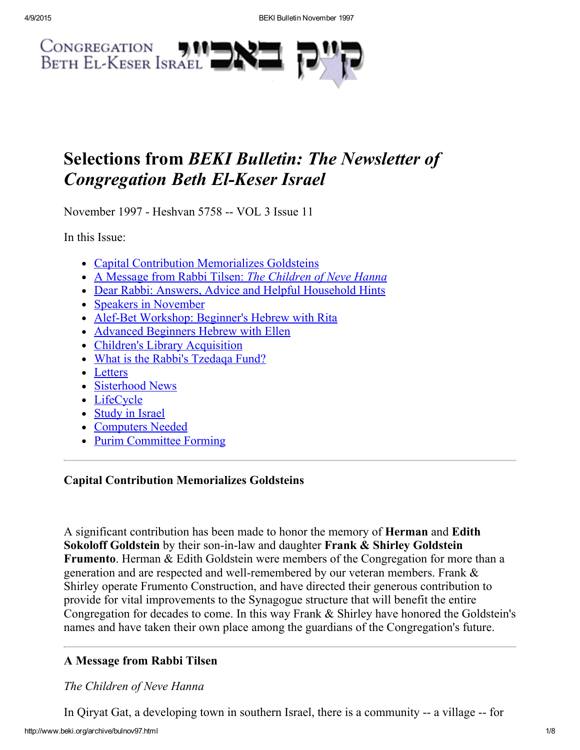

# Selections from BEKI Bulletin: The Newsletter of **Congregation Beth El-Keser Israel**

November 1997 - Heshvan 5758 -- VOL 3 Issue 11

In this Issue:

- Capital Contribution [Memorializes](#page-0-1) Goldsteins
- A Message from Rabbi Tilsen: The [Children](#page-0-0) of Neve Hanna
- Dear Rabbi: Answers, Advice and Helpful [Household](#page-1-0) Hints
- Speakers in [November](#page-3-3)
- Alef-Bet [Workshop:](#page-3-2) Beginner's Hebrew with Rita
- Advanced [Beginners](#page-3-0) Hebrew with Ellen
- Children's Library [Acquisition](#page-3-1)
- What is the Rabbi's [Tzedaqa](#page-4-3) Fund?
- [Letters](#page-4-0)
- [Sisterhood](#page-4-1) News
- [LifeCycle](#page-4-2)
- [Study](#page-6-0) in Israel
- [Computers](#page-7-0) Needed
- Purim [Committee](#page-7-1) Forming

# <span id="page-0-1"></span>Capital Contribution Memorializes Goldsteins

A significant contribution has been made to honor the memory of Herman and Edith Sokoloff Goldstein by their son-in-law and daughter Frank & Shirley Goldstein Frumento. Herman & Edith Goldstein were members of the Congregation for more than a generation and are respected and well-remembered by our veteran members. Frank  $\&$ Shirley operate Frumento Construction, and have directed their generous contribution to provide for vital improvements to the Synagogue structure that will benefit the entire Congregation for decades to come. In this way Frank & Shirley have honored the Goldstein's names and have taken their own place among the guardians of the Congregation's future.

# <span id="page-0-0"></span>A Message from Rabbi Tilsen

The Children of Neve Hanna

In Qiryat Gat, a developing town in southern Israel, there is a community -- a village -- for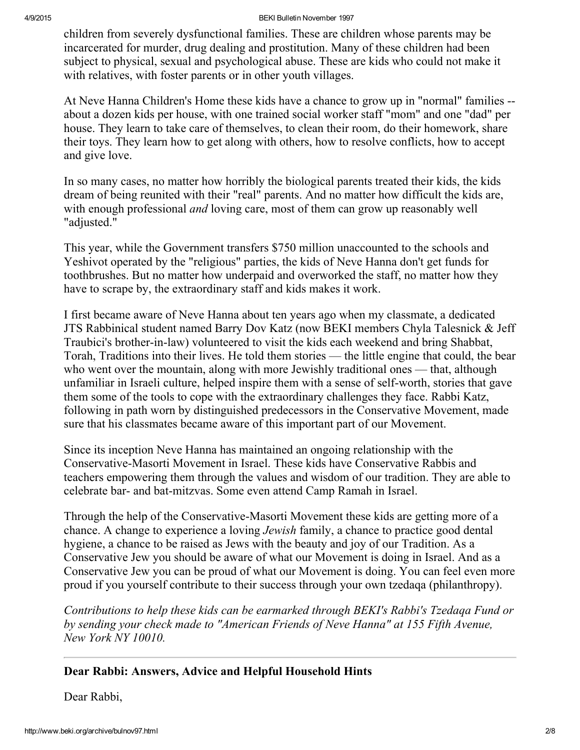#### 4/9/2015 BEKI Bulletin November 1997

children from severely dysfunctional families. These are children whose parents may be incarcerated for murder, drug dealing and prostitution. Many of these children had been subject to physical, sexual and psychological abuse. These are kids who could not make it with relatives, with foster parents or in other youth villages.

At Neve Hanna Children's Home these kids have a chance to grow up in "normal" families about a dozen kids per house, with one trained social worker staff "mom" and one "dad" per house. They learn to take care of themselves, to clean their room, do their homework, share their toys. They learn how to get along with others, how to resolve conflicts, how to accept and give love.

In so many cases, no matter how horribly the biological parents treated their kids, the kids dream of being reunited with their "real" parents. And no matter how difficult the kids are, with enough professional *and* loving care, most of them can grow up reasonably well "adjusted."

This year, while the Government transfers \$750 million unaccounted to the schools and Yeshivot operated by the "religious" parties, the kids of Neve Hanna don't get funds for toothbrushes. But no matter how underpaid and overworked the staff, no matter how they have to scrape by, the extraordinary staff and kids makes it work.

I first became aware of Neve Hanna about ten years ago when my classmate, a dedicated JTS Rabbinical student named Barry Dov Katz (now BEKI members Chyla Talesnick & Jeff Traubici's brother-in-law) volunteered to visit the kids each weekend and bring Shabbat, Torah, Traditions into their lives. He told them stories — the little engine that could, the bear who went over the mountain, along with more Jewishly traditional ones — that, although unfamiliar in Israeli culture, helped inspire them with a sense of self-worth, stories that gave them some of the tools to cope with the extraordinary challenges they face. Rabbi Katz, following in path worn by distinguished predecessors in the Conservative Movement, made sure that his classmates became aware of this important part of our Movement.

Since its inception Neve Hanna has maintained an ongoing relationship with the Conservative-Masorti Movement in Israel. These kids have Conservative Rabbis and teachers empowering them through the values and wisdom of our tradition. They are able to celebrate bar- and bat-mitzvas. Some even attend Camp Ramah in Israel.

Through the help of the Conservative-Masorti Movement these kids are getting more of a chance. A change to experience a loving *Jewish* family, a chance to practice good dental hygiene, a chance to be raised as Jews with the beauty and joy of our Tradition. As a Conservative Jew you should be aware of what our Movement is doing in Israel. And as a Conservative Jew you can be proud of what our Movement is doing. You can feel even more proud if you yourself contribute to their success through your own tzedaqa (philanthropy).

Contributions to help these kids can be earmarked through BEKI's Rabbi's Tzedaqa Fund or by sending your check made to "American Friends of Neve Hanna" at 155 Fifth Avenue, New York NY 10010.

## <span id="page-1-0"></span>Dear Rabbi: Answers, Advice and Helpful Household Hints

Dear Rabbi,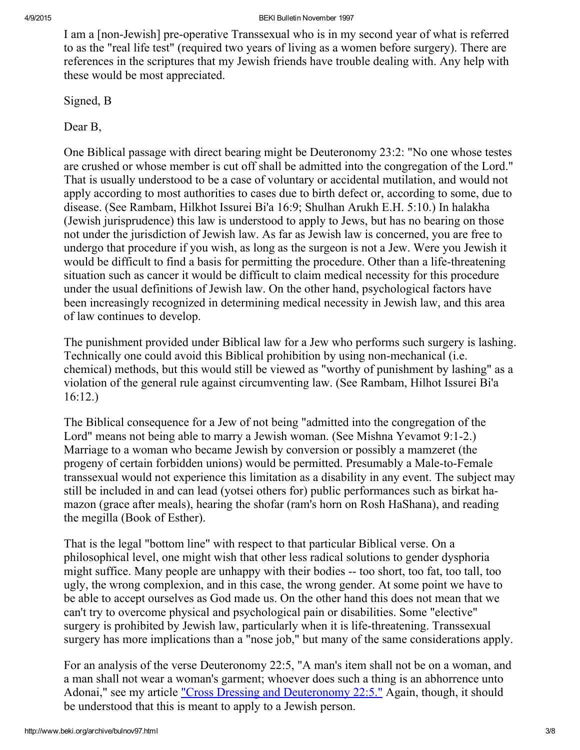I am a [non-Jewish] pre-operative Transsexual who is in my second year of what is referred to as the "real life test" (required two years of living as a women before surgery). There are references in the scriptures that my Jewish friends have trouble dealing with. Any help with these would be most appreciated.

Signed, B

Dear B,

One Biblical passage with direct bearing might be Deuteronomy 23:2: "No one whose testes are crushed or whose member is cut off shall be admitted into the congregation of the Lord." That is usually understood to be a case of voluntary or accidental mutilation, and would not apply according to most authorities to cases due to birth defect or, according to some, due to disease. (See Rambam, Hilkhot Issurei Bi'a 16:9; Shulhan Arukh E.H. 5:10.) In halakha (Jewish jurisprudence) this law is understood to apply to Jews, but has no bearing on those not under the jurisdiction of Jewish law. As far as Jewish law is concerned, you are free to undergo that procedure if you wish, as long as the surgeon is not a Jew. Were you Jewish it would be difficult to find a basis for permitting the procedure. Other than a life-threatening situation such as cancer it would be difficult to claim medical necessity for this procedure under the usual definitions of Jewish law. On the other hand, psychological factors have been increasingly recognized in determining medical necessity in Jewish law, and this area of law continues to develop.

The punishment provided under Biblical law for a Jew who performs such surgery is lashing. Technically one could avoid this Biblical prohibition by using non-mechanical (i.e. chemical) methods, but this would still be viewed as "worthy of punishment by lashing" as a violation of the general rule against circumventing law. (See Rambam, Hilhot Issurei Bi'a 16:12.)

The Biblical consequence for a Jew of not being "admitted into the congregation of the Lord" means not being able to marry a Jewish woman. (See Mishna Yevamot 9:1-2.) Marriage to a woman who became Jewish by conversion or possibly a mamzeret (the progeny of certain forbidden unions) would be permitted. Presumably a Male-to-Female transsexual would not experience this limitation as a disability in any event. The subject may still be included in and can lead (yotsei others for) public performances such as birkat hamazon (grace after meals), hearing the shofar (ram's horn on Rosh HaShana), and reading the megilla (Book of Esther).

That is the legal "bottom line" with respect to that particular Biblical verse. On a philosophical level, one might wish that other less radical solutions to gender dysphoria might suffice. Many people are unhappy with their bodies -- too short, too fat, too tall, too ugly, the wrong complexion, and in this case, the wrong gender. At some point we have to be able to accept ourselves as God made us. On the other hand this does not mean that we can't try to overcome physical and psychological pain or disabilities. Some "elective" surgery is prohibited by Jewish law, particularly when it is life-threatening. Transsexual surgery has more implications than a "nose job," but many of the same considerations apply.

For an analysis of the verse Deuteronomy 22:5, "A man's item shall not be on a woman, and a man shall not wear a woman's garment; whoever does such a thing is an abhorrence unto Adonai," see my article "Cross Dressing and [Deuteronomy](http://www.beki.org/archive/crossdress.html) 22:5." Again, though, it should be understood that this is meant to apply to a Jewish person.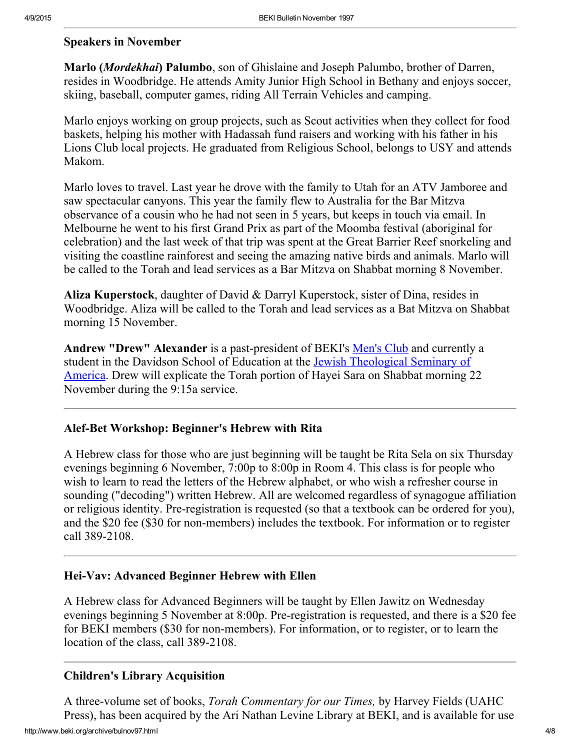#### <span id="page-3-3"></span>Speakers in November

Marlo (Mordekhai) Palumbo, son of Ghislaine and Joseph Palumbo, brother of Darren, resides in Woodbridge. He attends Amity Junior High School in Bethany and enjoys soccer, skiing, baseball, computer games, riding All Terrain Vehicles and camping.

Marlo enjoys working on group projects, such as Scout activities when they collect for food baskets, helping his mother with Hadassah fund raisers and working with his father in his Lions Club local projects. He graduated from Religious School, belongs to USY and attends Makom.

Marlo loves to travel. Last year he drove with the family to Utah for an ATV Jamboree and saw spectacular canyons. This year the family flew to Australia for the Bar Mitzva observance of a cousin who he had not seen in 5 years, but keeps in touch via email. In Melbourne he went to his first Grand Prix as part of the Moomba festival (aboriginal for celebration) and the last week of that trip was spent at the Great Barrier Reef snorkeling and visiting the coastline rainforest and seeing the amazing native birds and animals. Marlo will be called to the Torah and lead services as a Bar Mitzva on Shabbat morning 8 November.

Aliza Kuperstock, daughter of David & Darryl Kuperstock, sister of Dina, resides in Woodbridge. Aliza will be called to the Torah and lead services as a Bat Mitzva on Shabbat morning 15 November.

Andrew "Drew" Alexander is a past-president of BEKI's <u>[Men's](http://www.beki.org/archive/mensclub.html) Club</u> and currently a student in the Davidson School of Education at the Jewish [Theological](http://www.jtsa.edu/) Seminary of America. Drew will explicate the Torah portion of Hayei Sara on Shabbat morning 22 November during the 9:15a service.

#### <span id="page-3-2"></span>Alef-Bet Workshop: Beginner's Hebrew with Rita

A Hebrew class for those who are just beginning will be taught be Rita Sela on six Thursday evenings beginning 6 November, 7:00p to 8:00p in Room 4. This class is for people who wish to learn to read the letters of the Hebrew alphabet, or who wish a refresher course in sounding ("decoding") written Hebrew. All are welcomed regardless of synagogue affiliation or religious identity. Pre-registration is requested (so that a textbook can be ordered for you), and the \$20 fee (\$30 for non-members) includes the textbook. For information or to register call 389-2108.

#### <span id="page-3-0"></span>Hei-Vav: Advanced Beginner Hebrew with Ellen

A Hebrew class for Advanced Beginners will be taught by Ellen Jawitz on Wednesday evenings beginning 5 November at 8:00p. Pre-registration is requested, and there is a \$20 fee for BEKI members (\$30 for non-members). For information, or to register, or to learn the location of the class, call 389-2108.

#### <span id="page-3-1"></span>Children's Library Acquisition

http://www.beki.org/archive/bulnov97.html 4/8 A three-volume set of books, *Torah Commentary for our Times*, by Harvey Fields (UAHC Press), has been acquired by the Ari Nathan Levine Library at BEKI, and is available for use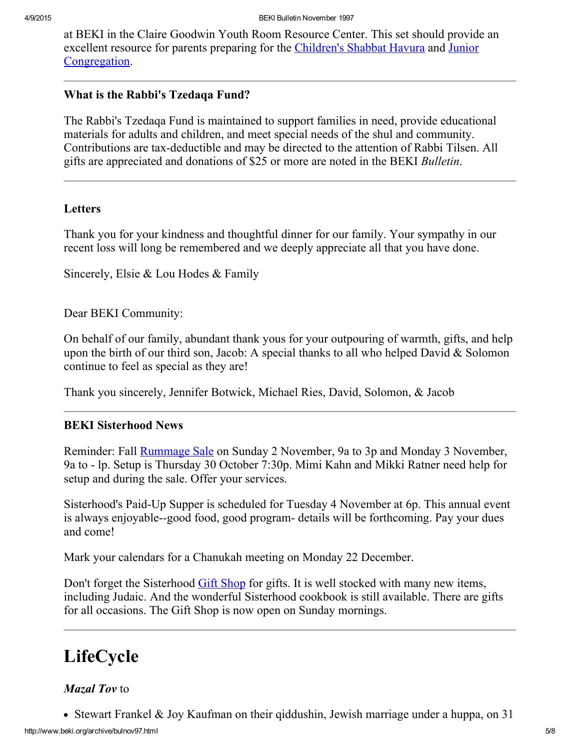at BEKI in the Claire Goodwin Youth Room Resource Center. This set should provide an excellent resource for parents preparing for the [Children's](http://www.beki.org/archive/youth.html#cshavura) Shabbat Havura and Junior [Congregation.](http://www.beki.org/archive/youth.html#junior)

#### <span id="page-4-3"></span>What is the Rabbi's Tzedaqa Fund?

The Rabbi's Tzedaqa Fund is maintained to support families in need, provide educational materials for adults and children, and meet special needs of the shul and community. Contributions are tax-deductible and may be directed to the attention of Rabbi Tilsen. All gifts are appreciated and donations of \$25 or more are noted in the BEKI Bulletin.

#### <span id="page-4-0"></span>Letters

Thank you for your kindness and thoughtful dinner for our family. Your sympathy in our recent loss will long be remembered and we deeply appreciate all that you have done.

Sincerely, Elsie & Lou Hodes & Family

Dear BEKI Community:

On behalf of our family, abundant thank yous for your outpouring of warmth, gifts, and help upon the birth of our third son, Jacob: A special thanks to all who helped David  $&$  Solomon continue to feel as special as they are!

Thank you sincerely, Jennifer Botwick, Michael Ries, David, Solomon, & Jacob

### <span id="page-4-1"></span>BEKI Sisterhood News

Reminder: Fall [Rummage](http://www.beki.org/archive/sisterhood.html#rummage) Sale on Sunday 2 November, 9a to 3p and Monday 3 November, 9a to lp. Setup is Thursday 30 October 7:30p. Mimi Kahn and Mikki Ratner need help for setup and during the sale. Offer your services.

Sisterhood's Paid-Up Supper is scheduled for Tuesday 4 November at 6p. This annual event is always enjoyable-good food, good program details will be forthcoming. Pay your dues and come!

Mark your calendars for a Chanukah meeting on Monday 22 December.

Don't forget the Sisterhood Gift [Shop](http://www.beki.org/archive/sisterhood.html#giftshop) for gifts. It is well stocked with many new items, including Judaic. And the wonderful Sisterhood cookbook is still available. There are gifts for all occasions. The Gift Shop is now open on Sunday mornings.

# <span id="page-4-2"></span>LifeCycle

### Mazal Tov to

• Stewart Frankel & Joy Kaufman on their giddushin, Jewish marriage under a huppa, on 31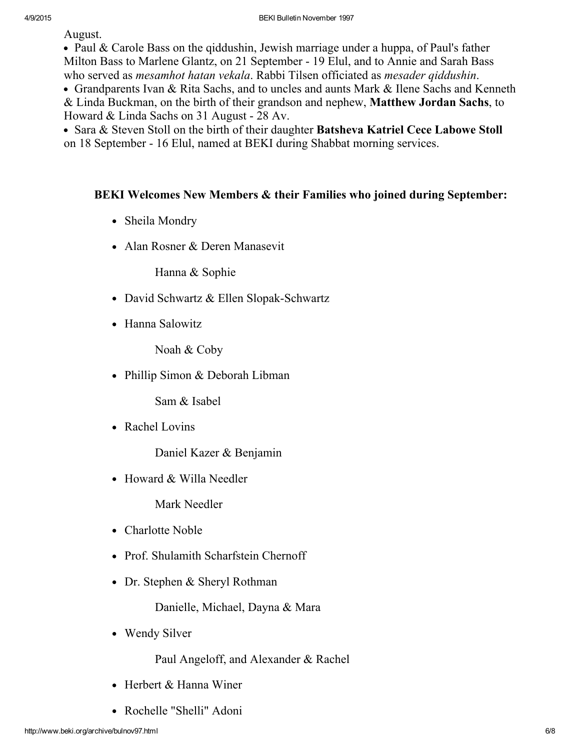August.

• Paul & Carole Bass on the giddushin, Jewish marriage under a huppa, of Paul's father Milton Bass to Marlene Glantz, on 21 September 19 Elul, and to Annie and Sarah Bass who served as *mesamhot hatan vekala*. Rabbi Tilsen officiated as *mesader qiddushin*.

Grandparents Ivan & Rita Sachs, and to uncles and aunts Mark & Ilene Sachs and Kenneth & Linda Buckman, on the birth of their grandson and nephew, Matthew Jordan Sachs, to Howard  $& Linda$  Sachs on 31 August - 28 Av.

• Sara & Steven Stoll on the birth of their daughter Batsheva Katriel Cece Labowe Stoll on 18 September - 16 Elul, named at BEKI during Shabbat morning services.

## BEKI Welcomes New Members & their Families who joined during September:

- Sheila Mondry
- Alan Rosner & Deren Manasevit

Hanna & Sophie

- David Schwartz & Ellen Slopak-Schwartz
- Hanna Salowitz

Noah & Coby

• Phillip Simon & Deborah Libman

Sam & Isabel

• Rachel Lovins

Daniel Kazer & Benjamin

 $\bullet$  Howard & Willa Needler

Mark Needler

- Charlotte Noble
- Prof. Shulamith Scharfstein Chernoff
- Dr. Stephen & Sheryl Rothman

Danielle, Michael, Dayna & Mara

• Wendy Silver

Paul Angeloff, and Alexander & Rachel

- Herbert & Hanna Winer
- Rochelle "Shelli" Adoni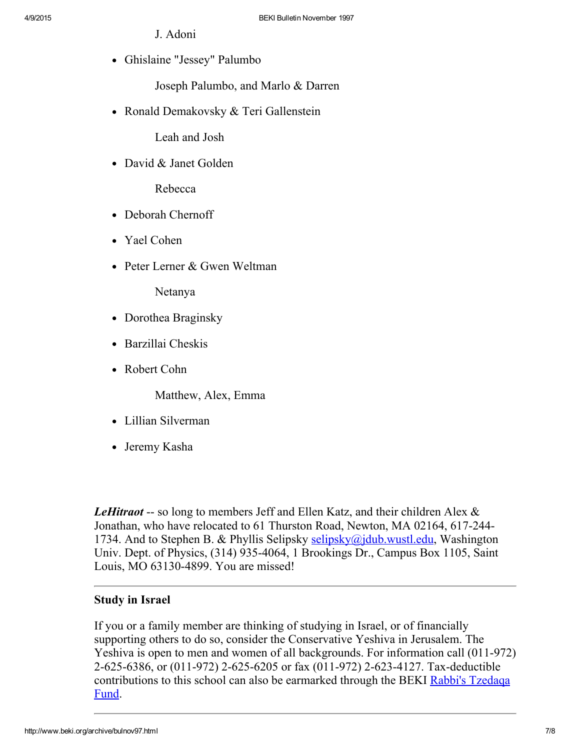- J. Adoni
- Ghislaine "Jessey" Palumbo

Joseph Palumbo, and Marlo & Darren

• Ronald Demakovsky & Teri Gallenstein

Leah and Josh

• David & Janet Golden

Rebecca

- Deborah Chernoff
- Yael Cohen
- Peter Lerner & Gwen Weltman

Netanya

- Dorothea Braginsky
- Barzillai Cheskis
- Robert Cohn

Matthew, Alex, Emma

- Lillian Silverman
- Jeremy Kasha

LeHitraot -- so long to members Jeff and Ellen Katz, and their children Alex  $\&$ Jonathan, who have relocated to 61 Thurston Road, Newton, MA 02164, 617-2441734. And to Stephen B. & Phyllis Selipsky [selipsky@jdub.wustl.edu,](mailto:selipsky@jdub.wustl.edu) Washington Univ. Dept. of Physics, (314) 935-4064, 1 Brookings Dr., Campus Box 1105, Saint Louis, MO 63130-4899. You are missed!

### <span id="page-6-0"></span>Study in Israel

If you or a family member are thinking of studying in Israel, or of financially supporting others to do so, consider the Conservative Yeshiva in Jerusalem. The Yeshiva is open to men and women of all backgrounds. For information call (011-972) 2-625-6386, or (011-972) 2-625-6205 or fax (011-972) 2-623-4127. Tax-deductible [contributions](#page-4-3) to this school can also be earmarked through the BEKI Rabbi's Tzedaqa Fund.